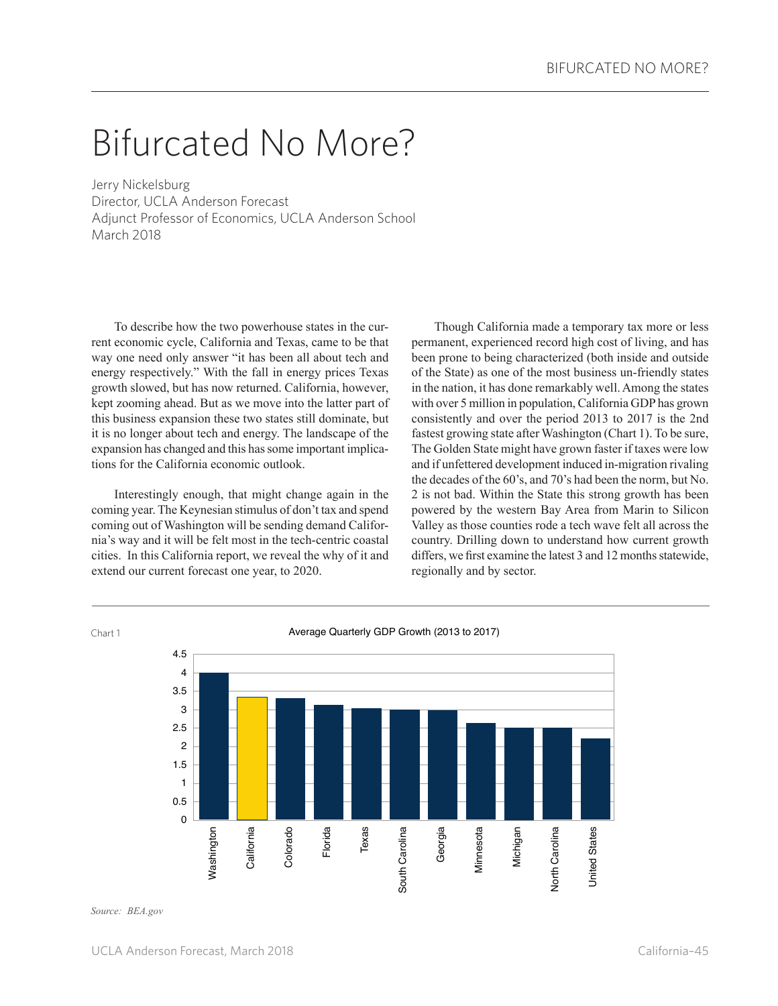## Bifurcated No More?

Jerry Nickelsburg Director, UCLA Anderson Forecast Adjunct Professor of Economics, UCLA Anderson School March 2018

To describe how the two powerhouse states in the current economic cycle, California and Texas, came to be that way one need only answer "it has been all about tech and energy respectively." With the fall in energy prices Texas growth slowed, but has now returned. California, however, kept zooming ahead. But as we move into the latter part of this business expansion these two states still dominate, but it is no longer about tech and energy. The landscape of the expansion has changed and this has some important implications for the California economic outlook.

Interestingly enough, that might change again in the coming year. The Keynesian stimulus of don't tax and spend coming out of Washington will be sending demand California's way and it will be felt most in the tech-centric coastal cities. In this California report, we reveal the why of it and extend our current forecast one year, to 2020.

Though California made a temporary tax more or less permanent, experienced record high cost of living, and has been prone to being characterized (both inside and outside of the State) as one of the most business un-friendly states in the nation, it has done remarkably well. Among the states with over 5 million in population, California GDP has grown consistently and over the period 2013 to 2017 is the 2nd fastest growing state after Washington (Chart 1). To be sure, The Golden State might have grown faster if taxes were low and if unfettered development induced in-migration rivaling the decades of the 60's, and 70's had been the norm, but No. 2 is not bad. Within the State this strong growth has been powered by the western Bay Area from Marin to Silicon Valley as those counties rode a tech wave felt all across the country. Drilling down to understand how current growth differs, we first examine the latest 3 and 12 months statewide, regionally and by sector.



*Source: BEA.gov*

Chart 1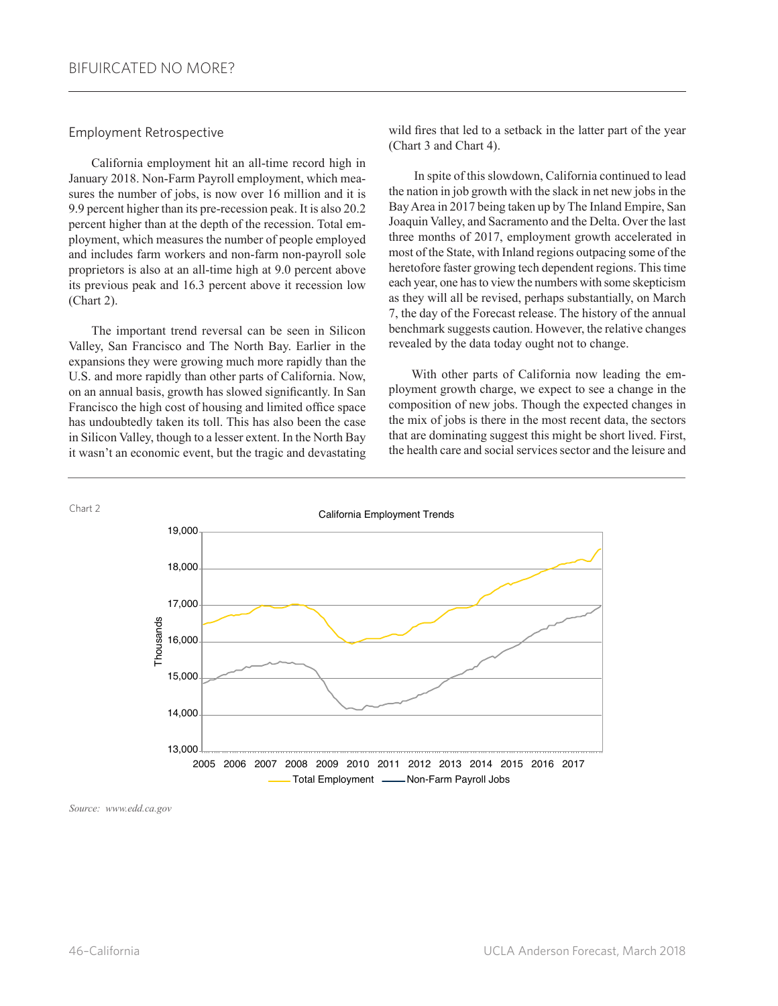## Employment Retrospective

California employment hit an all-time record high in January 2018. Non-Farm Payroll employment, which measures the number of jobs, is now over 16 million and it is 9.9 percent higher than its pre-recession peak. It is also 20.2 percent higher than at the depth of the recession. Total employment, which measures the number of people employed and includes farm workers and non-farm non-payroll sole proprietors is also at an all-time high at 9.0 percent above its previous peak and 16.3 percent above it recession low (Chart 2).

The important trend reversal can be seen in Silicon Valley, San Francisco and The North Bay. Earlier in the expansions they were growing much more rapidly than the U.S. and more rapidly than other parts of California. Now, on an annual basis, growth has slowed significantly. In San Francisco the high cost of housing and limited office space has undoubtedly taken its toll. This has also been the case in Silicon Valley, though to a lesser extent. In the North Bay it wasn't an economic event, but the tragic and devastating

wild fires that led to a setback in the latter part of the year (Chart 3 and Chart 4).

 In spite of this slowdown, California continued to lead the nation in job growth with the slack in net new jobs in the Bay Area in 2017 being taken up by The Inland Empire, San Joaquin Valley, and Sacramento and the Delta. Over the last three months of 2017, employment growth accelerated in most of the State, with Inland regions outpacing some of the heretofore faster growing tech dependent regions. This time each year, one has to view the numbers with some skepticism as they will all be revised, perhaps substantially, on March 7, the day of the Forecast release. The history of the annual benchmark suggests caution. However, the relative changes revealed by the data today ought not to change.

With other parts of California now leading the employment growth charge, we expect to see a change in the composition of new jobs. Though the expected changes in the mix of jobs is there in the most recent data, the sectors that are dominating suggest this might be short lived. First, the health care and social services sector and the leisure and



*Source: www.edd.ca.gov*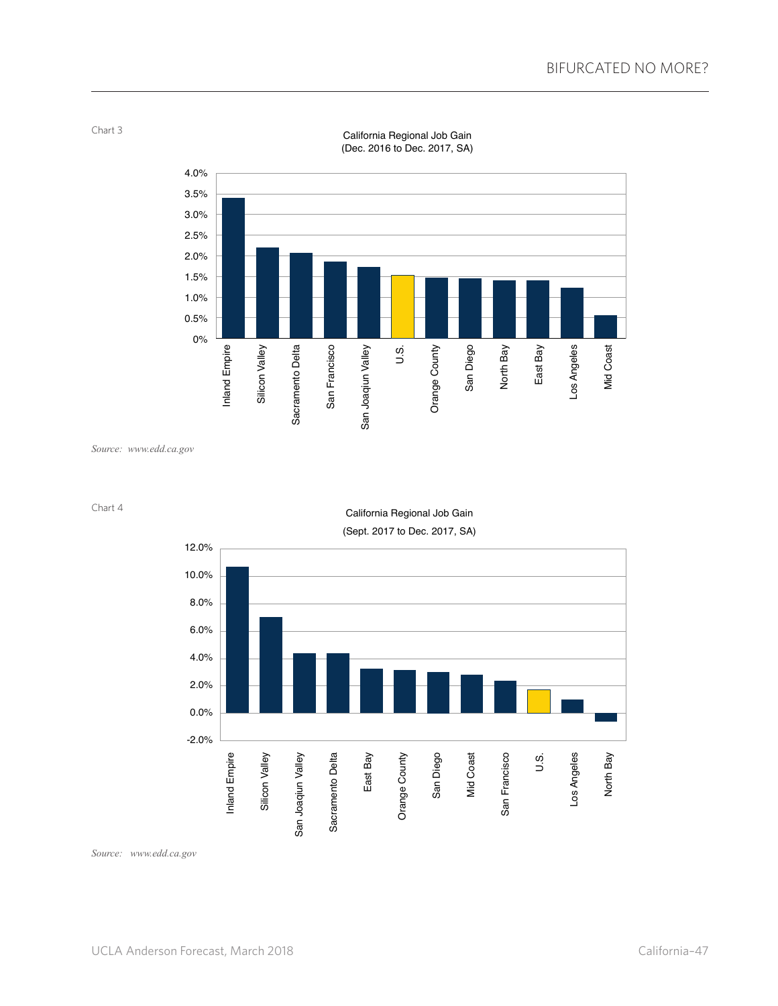

California Regional Job Gain (Dec. 2016 to Dec. 2017, SA)

*Source: www.edd.ca.gov*



Chart 4

Chart 3

*Source: www.edd.ca.gov*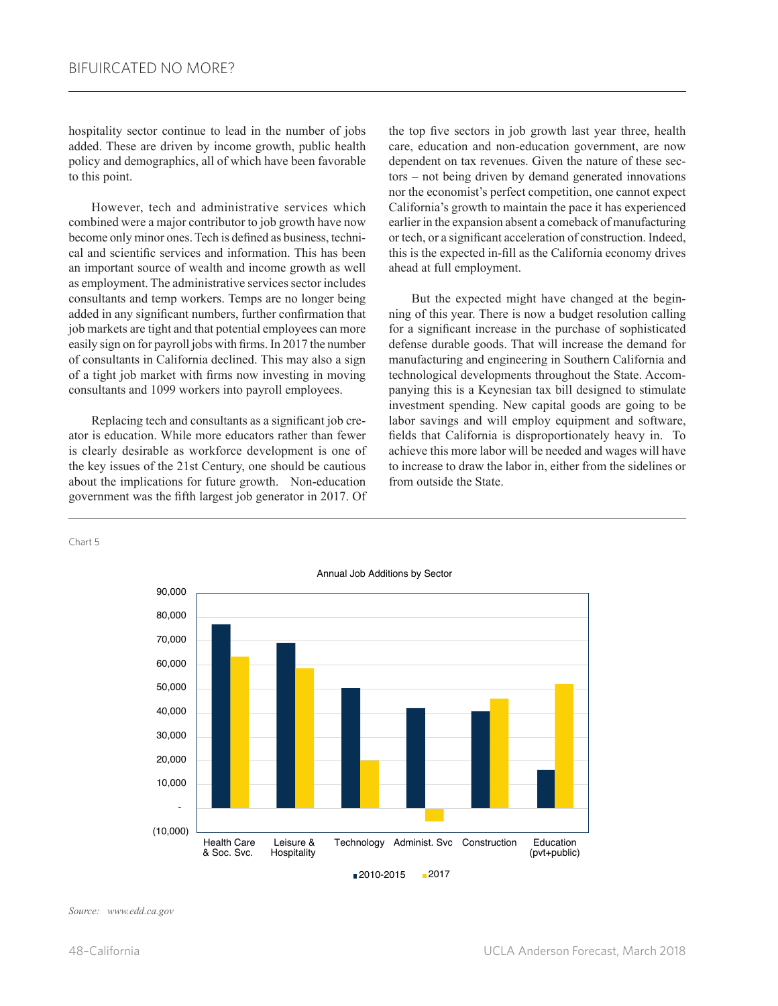hospitality sector continue to lead in the number of jobs added. These are driven by income growth, public health policy and demographics, all of which have been favorable to this point.

However, tech and administrative services which combined were a major contributor to job growth have now become only minor ones. Tech is defined as business, technical and scientific services and information. This has been an important source of wealth and income growth as well as employment. The administrative services sector includes consultants and temp workers. Temps are no longer being added in any significant numbers, further confirmation that job markets are tight and that potential employees can more easily sign on for payroll jobs with firms. In 2017 the number of consultants in California declined. This may also a sign of a tight job market with firms now investing in moving consultants and 1099 workers into payroll employees.

Replacing tech and consultants as a significant job creator is education. While more educators rather than fewer is clearly desirable as workforce development is one of the key issues of the 21st Century, one should be cautious about the implications for future growth. Non-education government was the fifth largest job generator in 2017. Of the top five sectors in job growth last year three, health care, education and non-education government, are now dependent on tax revenues. Given the nature of these sectors – not being driven by demand generated innovations nor the economist's perfect competition, one cannot expect California's growth to maintain the pace it has experienced earlier in the expansion absent a comeback of manufacturing or tech, or a significant acceleration of construction. Indeed, this is the expected in-fill as the California economy drives ahead at full employment.

But the expected might have changed at the beginning of this year. There is now a budget resolution calling for a significant increase in the purchase of sophisticated defense durable goods. That will increase the demand for manufacturing and engineering in Southern California and technological developments throughout the State. Accompanying this is a Keynesian tax bill designed to stimulate investment spending. New capital goods are going to be labor savings and will employ equipment and software, fields that California is disproportionately heavy in. To achieve this more labor will be needed and wages will have to increase to draw the labor in, either from the sidelines or from outside the State.

Chart 5



*Source: www.edd.ca.gov*